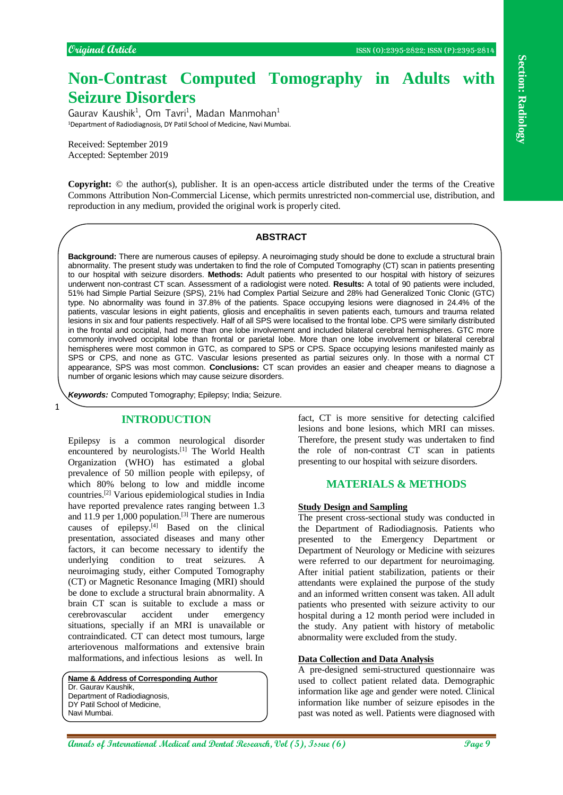# **Non-Contrast Computed Tomography in Adults with Seizure Disorders**

Gaurav Kaushik<sup>1</sup>, Om Tavri<sup>1</sup>, Madan Manmohan<sup>1</sup> <sup>1</sup>Department of Radiodiagnosis, DY Patil School of Medicine, Navi Mumbai.

Received: September 2019 Accepted: September 2019

**Copyright:** © the author(s), publisher. It is an open-access article distributed under the terms of the Creative Commons Attribution Non-Commercial License, which permits unrestricted non-commercial use, distribution, and reproduction in any medium, provided the original work is properly cited.

## **ABSTRACT**

**Non-Contrast Computed Tomography in Adults with**  $\frac{25}{2}$ **<br>Security Disorders of Annals of International Medical Annals in the section of International Research, The Figure 2013 and the Contrast Computer Section of The C Background:** There are numerous causes of epilepsy. A neuroimaging study should be done to exclude a structural brain abnormality. The present study was undertaken to find the role of Computed Tomography (CT) scan in patients presenting to our hospital with seizure disorders. **Methods:** Adult patients who presented to our hospital with history of seizures underwent non-contrast CT scan. Assessment of a radiologist were noted. **Results:** A total of 90 patients were included, 51% had Simple Partial Seizure (SPS), 21% had Complex Partial Seizure and 28% had Generalized Tonic Clonic (GTC) type. No abnormality was found in 37.8% of the patients. Space occupying lesions were diagnosed in 24.4% of the patients, vascular lesions in eight patients, gliosis and encephalitis in seven patients each, tumours and trauma related lesions in six and four patients respectively. Half of all SPS were localised to the frontal lobe. CPS were similarly distributed in the frontal and occipital, had more than one lobe involvement and included bilateral cerebral hemispheres. GTC more commonly involved occipital lobe than frontal or parietal lobe. More than one lobe involvement or bilateral cerebral hemispheres were most common in GTC, as compared to SPS or CPS. Space occupying lesions manifested mainly as SPS or CPS, and none as GTC. Vascular lesions presented as partial seizures only. In those with a normal CT appearance, SPS was most common. **Conclusions:** CT scan provides an easier and cheaper means to diagnose a number of organic lesions which may cause seizure disorders.

*Keywords:* Computed Tomography; Epilepsy; India; Seizure.

# **INTRODUCTION**

1

Epilepsy is a common neurological disorder encountered by neurologists.[1] The World Health Organization (WHO) has estimated a global prevalence of 50 million people with epilepsy, of which 80% belong to low and middle income countries.[2] Various epidemiological studies in India have reported prevalence rates ranging between 1.3 and 11.9 per 1,000 population.<sup>[3]</sup> There are numerous causes of epilepsy.[4] Based on the clinical presentation, associated diseases and many other factors, it can become necessary to identify the underlying condition to treat seizures. A neuroimaging study, either Computed Tomography (CT) or Magnetic Resonance Imaging (MRI) should be done to exclude a structural brain abnormality. A brain CT scan is suitable to exclude a mass or cerebrovascular accident under emergency situations, specially if an MRI is unavailable or contraindicated. CT can detect most tumours, large arteriovenous malformations and extensive brain malformations, and infectious lesions as well. In

**Name & Address of Corresponding Author** Dr. Gaurav Kaushik, Department of Radiodiagnosis, DY Patil School of Medicine, Navi Mumbai.

fact, CT is more sensitive for detecting calcified lesions and bone lesions, which MRI can misses. Therefore, the present study was undertaken to find the role of non-contrast CT scan in patients presenting to our hospital with seizure disorders.

# **MATERIALS & METHODS**

#### **Study Design and Sampling**

The present cross-sectional study was conducted in the Department of Radiodiagnosis. Patients who presented to the Emergency Department or Department of Neurology or Medicine with seizures were referred to our department for neuroimaging. After initial patient stabilization, patients or their attendants were explained the purpose of the study and an informed written consent was taken. All adult patients who presented with seizure activity to our hospital during a 12 month period were included in the study. Any patient with history of metabolic abnormality were excluded from the study.

#### **Data Collection and Data Analysis**

A pre-designed semi-structured questionnaire was used to collect patient related data. Demographic information like age and gender were noted. Clinical information like number of seizure episodes in the past was noted as well. Patients were diagnosed with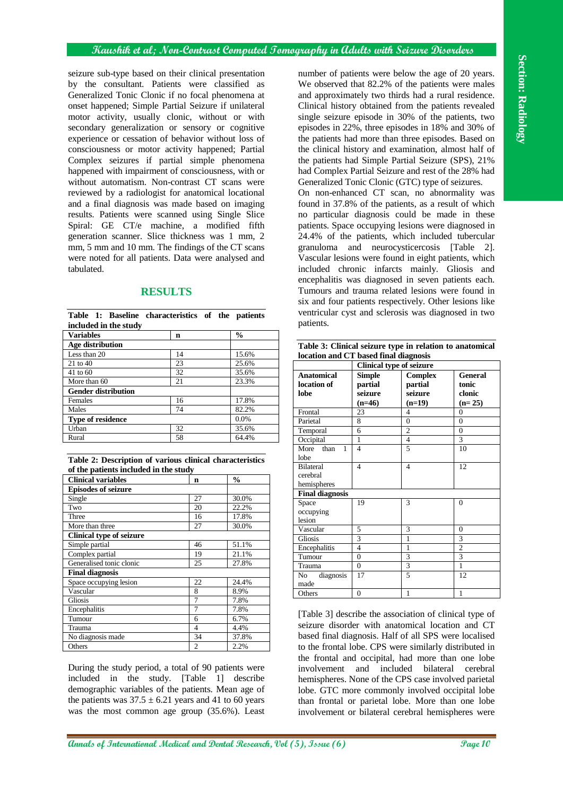## **Kaushik et al; Non-Contrast Computed Tomography in Adults with Seizure Disorders**

seizure sub-type based on their clinical presentation by the consultant. Patients were classified as Generalized Tonic Clonic if no focal phenomena at onset happened; Simple Partial Seizure if unilateral motor activity, usually clonic, without or with secondary generalization or sensory or cognitive experience or cessation of behavior without loss of consciousness or motor activity happened; Partial Complex seizures if partial simple phenomena happened with impairment of consciousness, with or without automatism. Non-contrast CT scans were reviewed by a radiologist for anatomical locational and a final diagnosis was made based on imaging results. Patients were scanned using Single Slice Spiral: GE CT/e machine, a modified fifth generation scanner. Slice thickness was 1 mm, 2 mm, 5 mm and 10 mm. The findings of the CT scans were noted for all patients. Data were analysed and tabulated.

# **RESULTS**

|  |                       | Table 1: Baseline characteristics of the patients |  |  |
|--|-----------------------|---------------------------------------------------|--|--|
|  | included in the study |                                                   |  |  |

| <b>Variables</b>           | n    | $\frac{0}{0}$ |
|----------------------------|------|---------------|
| Age distribution           |      |               |
| Less than 20               | 14   | 15.6%         |
| $21$ to 40                 | 23   | 25.6%         |
| 41 to 60                   | 32   | 35.6%         |
| More than 60               | 21   | 23.3%         |
| <b>Gender distribution</b> |      |               |
| Females                    | 16   | 17.8%         |
| Males                      | 74   | 82.2%         |
| Type of residence          | 0.0% |               |
| Urban                      | 32   | 35.6%         |
| Rural                      | 58   | 64.4%         |

|                                       |  | Table 2: Description of various clinical characteristics |
|---------------------------------------|--|----------------------------------------------------------|
| of the patients included in the study |  |                                                          |

| or the patients included in the study |                |               |  |  |
|---------------------------------------|----------------|---------------|--|--|
| <b>Clinical variables</b>             | $\mathbf n$    | $\frac{0}{0}$ |  |  |
| <b>Episodes of seizure</b>            |                |               |  |  |
| Single                                | 27             | 30.0%         |  |  |
| Two                                   | 20             | 22.2%         |  |  |
| Three                                 | 16             | 17.8%         |  |  |
| More than three                       | 27             | 30.0%         |  |  |
| <b>Clinical type of seizure</b>       |                |               |  |  |
| Simple partial                        | 46             | 51.1%         |  |  |
| Complex partial                       | 19             | 21.1%         |  |  |
| Generalised tonic clonic              | 25             | 27.8%         |  |  |
| <b>Final diagnosis</b>                |                |               |  |  |
| Space occupying lesion                | 22             | 24.4%         |  |  |
| Vascular                              | 8              | 8.9%          |  |  |
| <b>Gliosis</b>                        | 7              | 7.8%          |  |  |
| Encephalitis                          |                | 7.8%          |  |  |
| Tumour                                | 6              | 6.7%          |  |  |
| Trauma                                | 4              | 4.4%          |  |  |
| No diagnosis made                     | 34             | 37.8%         |  |  |
| Others                                | $\overline{2}$ | 2.2%          |  |  |

During the study period, a total of 90 patients were included in the study. [Table 1] describe demographic variables of the patients. Mean age of the patients was  $37.5 \pm 6.21$  years and 41 to 60 years was the most common age group (35.6%). Least

**Annals objects and research international consider and propositional consider and international medical and international medical and international medical and international medical and international medical and internati** number of patients were below the age of 20 years. We observed that 82.2% of the patients were males and approximately two thirds had a rural residence. Clinical history obtained from the patients revealed single seizure episode in 30% of the patients, two episodes in 22%, three episodes in 18% and 30% of the patients had more than three episodes. Based on the clinical history and examination, almost half of the patients had Simple Partial Seizure (SPS), 21% had Complex Partial Seizure and rest of the 28% had Generalized Tonic Clonic (GTC) type of seizures. On non-enhanced CT scan, no abnormality was found in 37.8% of the patients, as a result of which no particular diagnosis could be made in these patients. Space occupying lesions were diagnosed in 24.4% of the patients, which included tubercular granuloma and neurocysticercosis [Table 2]. Vascular lesions were found in eight patients, which included chronic infarcts mainly. Gliosis and encephalitis was diagnosed in seven patients each. Tumours and trauma related lesions were found in six and four patients respectively. Other lesions like ventricular cyst and sclerosis was diagnosed in two patients.

| Table 3: Clinical seizure type in relation to anatomical |
|----------------------------------------------------------|
| location and CT based final diagnosis                    |

| rocatron anu CT bascu nnar unagnosis<br><b>Clinical type of seizure</b> |                |                |                |  |
|-------------------------------------------------------------------------|----------------|----------------|----------------|--|
| <b>Anatomical</b>                                                       | <b>Simple</b>  | <b>Complex</b> | <b>General</b> |  |
| location of                                                             | partial        | partial        | tonic          |  |
| lobe                                                                    | seizure        | seizure        | clonic         |  |
|                                                                         | $(n=46)$       | $(n=19)$       | $(n=25)$       |  |
| Frontal                                                                 | 23             | 4              | $\theta$       |  |
| Parietal                                                                | 8              | $\theta$       | $\theta$       |  |
| Temporal                                                                | 6              | $\overline{2}$ | $\overline{0}$ |  |
| Occipital                                                               | 1              | $\overline{4}$ | 3              |  |
| More<br>than<br>1                                                       | 4              | 5              | 10             |  |
| lobe                                                                    |                |                |                |  |
| <b>Bilateral</b>                                                        | $\overline{4}$ | $\overline{4}$ | 12             |  |
| cerebral                                                                |                |                |                |  |
| hemispheres                                                             |                |                |                |  |
| <b>Final diagnosis</b>                                                  |                |                |                |  |
| Space                                                                   | 19             | 3              | $\overline{0}$ |  |
| occupying                                                               |                |                |                |  |
| lesion                                                                  |                |                |                |  |
| Vascular                                                                | 5              | 3              | $\Omega$       |  |
| Gliosis                                                                 | 3              | 1              | 3              |  |
| Encephalitis                                                            | 4              | 1              | $\overline{c}$ |  |
| Tumour                                                                  | $\overline{0}$ | 3              | 3              |  |
| Trauma                                                                  | $\overline{0}$ | 3              | $\mathbf{1}$   |  |
| diagnosis<br>No                                                         | 17             | 5              | 12             |  |
| made                                                                    |                |                |                |  |
| Others                                                                  | $\theta$       | 1              | $\mathbf{1}$   |  |

[Table 3] describe the association of clinical type of seizure disorder with anatomical location and CT based final diagnosis. Half of all SPS were localised to the frontal lobe. CPS were similarly distributed in the frontal and occipital, had more than one lobe involvement and included bilateral cerebral hemispheres. None of the CPS case involved parietal lobe. GTC more commonly involved occipital lobe than frontal or parietal lobe. More than one lobe involvement or bilateral cerebral hemispheres were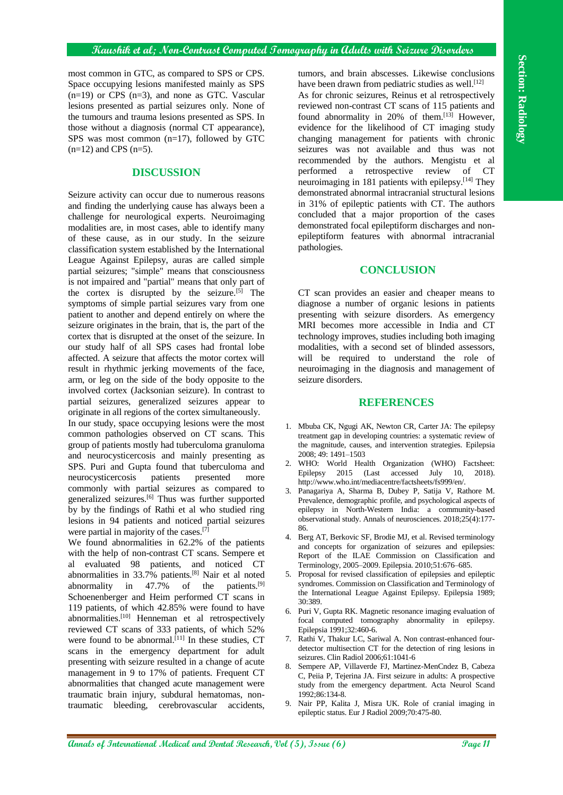most common in GTC, as compared to SPS or CPS. Space occupying lesions manifested mainly as SPS  $(n=19)$  or CPS  $(n=3)$ , and none as GTC. Vascular lesions presented as partial seizures only. None of the tumours and trauma lesions presented as SPS. In those without a diagnosis (normal CT appearance), SPS was most common (n=17), followed by GTC  $(n=12)$  and CPS  $(n=5)$ .

#### **DISCUSSION**

**And controls a GTC, as compared to Section 14. The matrix of Constructions of International Annals of CTC via Constructions of International Annals of CTC via Constructions of The Constructions of The Construction 14. Th** Seizure activity can occur due to numerous reasons and finding the underlying cause has always been a challenge for neurological experts. Neuroimaging modalities are, in most cases, able to identify many of these cause, as in our study. In the seizure classification system established by the International League Against Epilepsy, auras are called simple partial seizures; "simple" means that consciousness is not impaired and "partial" means that only part of the cortex is disrupted by the seizure.[5] The symptoms of simple partial seizures vary from one patient to another and depend entirely on where the seizure originates in the brain, that is, the part of the cortex that is disrupted at the onset of the seizure. In our study half of all SPS cases had frontal lobe affected. A seizure that affects the motor cortex will result in rhythmic jerking movements of the face, arm, or leg on the side of the body opposite to the involved cortex (Jacksonian seizure). In contrast to partial seizures, generalized seizures appear to originate in all regions of the cortex simultaneously. In our study, space occupying lesions were the most common pathologies observed on CT scans. This group of patients mostly had tuberculoma granuloma and neurocysticercosis and mainly presenting as SPS. Puri and Gupta found that tuberculoma and<br>neurocysticercosis patients presented more neurocysticercosis patients presented more commonly with partial seizures as compared to

generalized seizures.[6] Thus was further supported by by the findings of Rathi et al who studied ring lesions in 94 patients and noticed partial seizures were partial in majority of the cases.[7] We found abnormalities in 62.2% of the patients

with the help of non-contrast CT scans. Sempere et al evaluated 98 patients, and noticed CT abnormalities in  $33.7\%$  patients.<sup>[8]</sup> Nair et al noted abnormality in  $47.7\%$  of the patients.<sup>[9]</sup> Schoenenberger and Heim performed CT scans in 119 patients, of which 42.85% were found to have abnormalities.<sup>[10]</sup> Henneman et al retrospectively reviewed CT scans of 333 patients, of which 52% were found to be abnormal. $[11]$  In these studies, CT scans in the emergency department for adult presenting with seizure resulted in a change of acute management in 9 to 17% of patients. Frequent CT abnormalities that changed acute management were traumatic brain injury, subdural hematomas, nontraumatic bleeding, cerebrovascular accidents,

tumors, and brain abscesses. Likewise conclusions have been drawn from pediatric studies as well.<sup>[12]</sup>

As for chronic seizures, Reinus et al retrospectively reviewed non-contrast CT scans of 115 patients and found abnormality in 20% of them.<sup>[13]</sup> However, evidence for the likelihood of CT imaging study changing management for patients with chronic seizures was not available and thus was not recommended by the authors. Mengistu et al performed a retrospective review of CT neuroimaging in 181 patients with epilepsy.<sup>[14]</sup> They demonstrated abnormal intracranial structural lesions in 31% of epileptic patients with CT. The authors concluded that a major proportion of the cases demonstrated focal epileptiform discharges and nonepileptiform features with abnormal intracranial pathologies.

#### **CONCLUSION**

CT scan provides an easier and cheaper means to diagnose a number of organic lesions in patients presenting with seizure disorders. As emergency MRI becomes more accessible in India and CT technology improves, studies including both imaging modalities, with a second set of blinded assessors, will be required to understand the role of neuroimaging in the diagnosis and management of seizure disorders.

#### **REFERENCES**

- 1. Mbuba CK, Ngugi AK, Newton CR, Carter JA: The epilepsy treatment gap in developing countries: a systematic review of the magnitude, causes, and intervention strategies. Epilepsia 2008; 49: 1491–1503
- 2. WHO: World Health Organization (WHO) Factsheet: Epilepsy 2015 (Last accessed July 10, 2018). http://www.who.int/mediacentre/factsheets/fs999/en/.
- 3. Panagariya A, Sharma B, Dubey P, Satija V, Rathore M. Prevalence, demographic profile, and psychological aspects of epilepsy in North-Western India: a community-based observational study. Annals of neurosciences. 2018;25(4):177- 86.
- 4. Berg AT, Berkovic SF, Brodie MJ, et al. Revised terminology and concepts for organization of seizures and epilepsies: Report of the ILAE Commission on Classification and Terminology, 2005–2009. Epilepsia. 2010;51:676–685.
- 5. Proposal for revised classification of epilepsies and epileptic syndromes. Commission on Classification and Terminology of the International League Against Epilepsy. Epilepsia 1989; 30:389.
- 6. Puri V, Gupta RK. Magnetic resonance imaging evaluation of focal computed tomography abnormality in epilepsy. Epilepsia 1991;32:460-6.
- 7. Rathi V, Thakur LC, Sariwal A. Non contrast-enhanced fourdetector multisection CT for the detection of ring lesions in seizures. Clin Radiol 2006;61:1041-6
- 8. Sempere AP, Villaverde FJ, Martinez-MenCndez B, Cabeza C, Peiia P, Tejerina JA. First seizure in adults: A prospective study from the emergency department. Acta Neurol Scand 1992;86:134-8.
- 9. Nair PP, Kalita J, Misra UK. Role of cranial imaging in epileptic status. Eur J Radiol 2009;70:475-80.